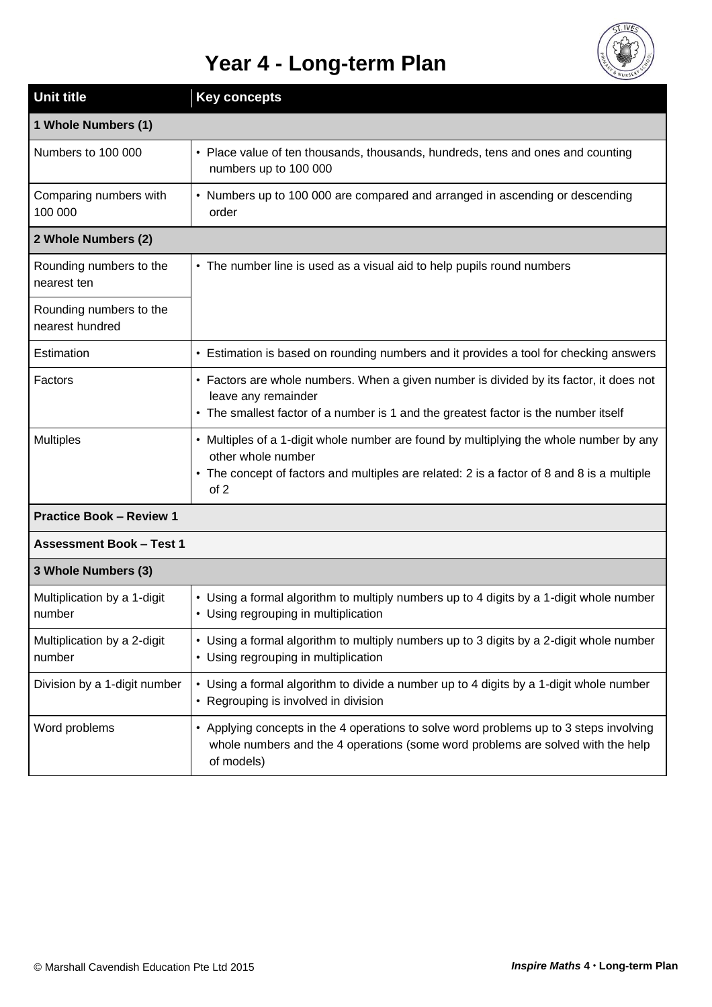## **Year 4 - Long-term Plan**



| <b>Unit title</b>                          | <b>Key concepts</b>                                                                                                                                                                                                |
|--------------------------------------------|--------------------------------------------------------------------------------------------------------------------------------------------------------------------------------------------------------------------|
| 1 Whole Numbers (1)                        |                                                                                                                                                                                                                    |
| Numbers to 100 000                         | • Place value of ten thousands, thousands, hundreds, tens and ones and counting<br>numbers up to 100 000                                                                                                           |
| Comparing numbers with<br>100 000          | • Numbers up to 100 000 are compared and arranged in ascending or descending<br>order                                                                                                                              |
| 2 Whole Numbers (2)                        |                                                                                                                                                                                                                    |
| Rounding numbers to the<br>nearest ten     | • The number line is used as a visual aid to help pupils round numbers                                                                                                                                             |
| Rounding numbers to the<br>nearest hundred |                                                                                                                                                                                                                    |
| Estimation                                 | • Estimation is based on rounding numbers and it provides a tool for checking answers                                                                                                                              |
| Factors                                    | • Factors are whole numbers. When a given number is divided by its factor, it does not<br>leave any remainder<br>• The smallest factor of a number is 1 and the greatest factor is the number itself               |
| <b>Multiples</b>                           | • Multiples of a 1-digit whole number are found by multiplying the whole number by any<br>other whole number<br>• The concept of factors and multiples are related: 2 is a factor of 8 and 8 is a multiple<br>of 2 |
| <b>Practice Book - Review 1</b>            |                                                                                                                                                                                                                    |
| <b>Assessment Book - Test 1</b>            |                                                                                                                                                                                                                    |
| 3 Whole Numbers (3)                        |                                                                                                                                                                                                                    |
| Multiplication by a 1-digit<br>number      | • Using a formal algorithm to multiply numbers up to 4 digits by a 1-digit whole number<br>• Using regrouping in multiplication                                                                                    |
| Multiplication by a 2-digit<br>number      | • Using a formal algorithm to multiply numbers up to 3 digits by a 2-digit whole number<br>• Using regrouping in multiplication                                                                                    |
| Division by a 1-digit number               | • Using a formal algorithm to divide a number up to 4 digits by a 1-digit whole number<br>• Regrouping is involved in division                                                                                     |
| Word problems                              | • Applying concepts in the 4 operations to solve word problems up to 3 steps involving<br>whole numbers and the 4 operations (some word problems are solved with the help<br>of models)                            |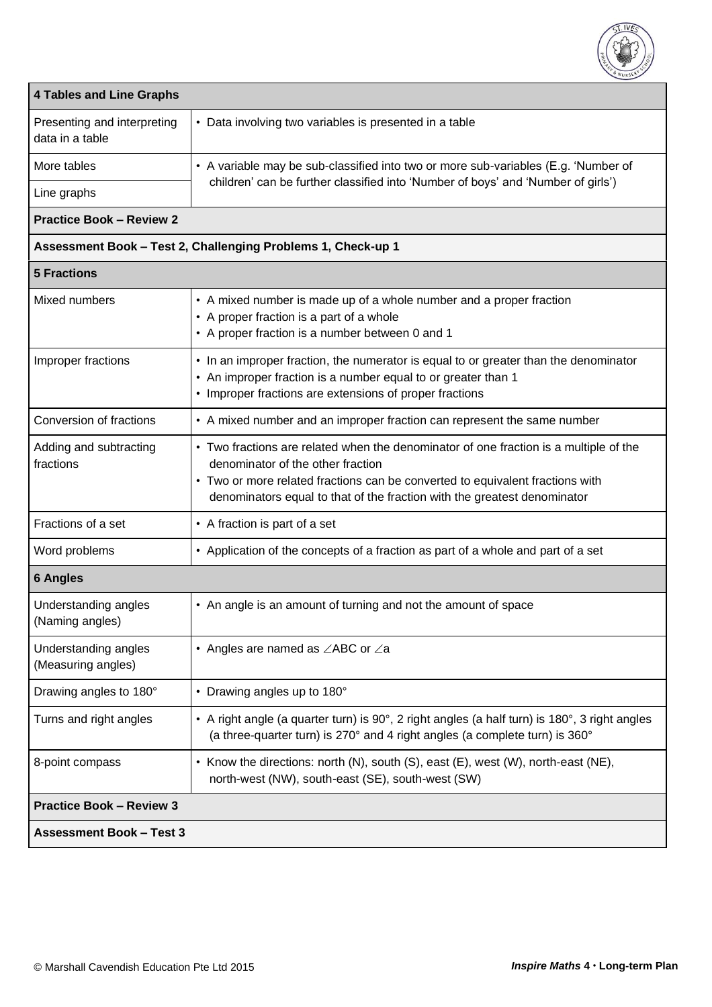

| <b>4 Tables and Line Graphs</b>                |                                                                                                                                                                                                                                                                                         |  |
|------------------------------------------------|-----------------------------------------------------------------------------------------------------------------------------------------------------------------------------------------------------------------------------------------------------------------------------------------|--|
| Presenting and interpreting<br>data in a table | • Data involving two variables is presented in a table                                                                                                                                                                                                                                  |  |
| More tables                                    | • A variable may be sub-classified into two or more sub-variables (E.g. 'Number of                                                                                                                                                                                                      |  |
| Line graphs                                    | children' can be further classified into 'Number of boys' and 'Number of girls')                                                                                                                                                                                                        |  |
| <b>Practice Book - Review 2</b>                |                                                                                                                                                                                                                                                                                         |  |
|                                                | Assessment Book - Test 2, Challenging Problems 1, Check-up 1                                                                                                                                                                                                                            |  |
| <b>5 Fractions</b>                             |                                                                                                                                                                                                                                                                                         |  |
| Mixed numbers                                  | • A mixed number is made up of a whole number and a proper fraction<br>• A proper fraction is a part of a whole<br>• A proper fraction is a number between 0 and 1                                                                                                                      |  |
| Improper fractions                             | • In an improper fraction, the numerator is equal to or greater than the denominator<br>• An improper fraction is a number equal to or greater than 1<br>• Improper fractions are extensions of proper fractions                                                                        |  |
| Conversion of fractions                        | • A mixed number and an improper fraction can represent the same number                                                                                                                                                                                                                 |  |
| Adding and subtracting<br>fractions            | • Two fractions are related when the denominator of one fraction is a multiple of the<br>denominator of the other fraction<br>• Two or more related fractions can be converted to equivalent fractions with<br>denominators equal to that of the fraction with the greatest denominator |  |
| Fractions of a set                             | • A fraction is part of a set                                                                                                                                                                                                                                                           |  |
| Word problems                                  | • Application of the concepts of a fraction as part of a whole and part of a set                                                                                                                                                                                                        |  |
| <b>6 Angles</b>                                |                                                                                                                                                                                                                                                                                         |  |
| Understanding angles<br>(Naming angles)        | • An angle is an amount of turning and not the amount of space                                                                                                                                                                                                                          |  |
| Understanding angles<br>(Measuring angles)     | • Angles are named as $\angle$ ABC or $\angle$ a                                                                                                                                                                                                                                        |  |
| Drawing angles to 180°                         | • Drawing angles up to 180°                                                                                                                                                                                                                                                             |  |
| Turns and right angles                         | • A right angle (a quarter turn) is 90°, 2 right angles (a half turn) is 180°, 3 right angles<br>(a three-quarter turn) is 270° and 4 right angles (a complete turn) is 360°                                                                                                            |  |
| 8-point compass                                | • Know the directions: north (N), south (S), east (E), west (W), north-east (NE),<br>north-west (NW), south-east (SE), south-west (SW)                                                                                                                                                  |  |
| <b>Practice Book - Review 3</b>                |                                                                                                                                                                                                                                                                                         |  |
| <b>Assessment Book - Test 3</b>                |                                                                                                                                                                                                                                                                                         |  |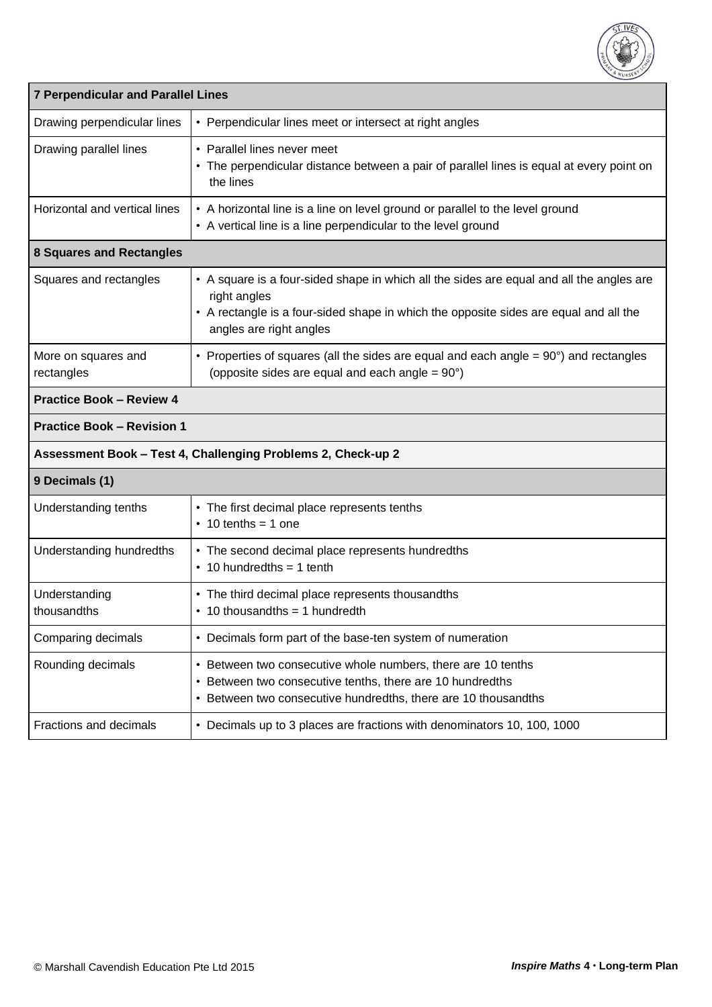

| <b>7 Perpendicular and Parallel Lines</b> |                                                                                                                                                                                                                              |  |
|-------------------------------------------|------------------------------------------------------------------------------------------------------------------------------------------------------------------------------------------------------------------------------|--|
| Drawing perpendicular lines               | • Perpendicular lines meet or intersect at right angles                                                                                                                                                                      |  |
| Drawing parallel lines                    | • Parallel lines never meet<br>• The perpendicular distance between a pair of parallel lines is equal at every point on<br>the lines                                                                                         |  |
| Horizontal and vertical lines             | • A horizontal line is a line on level ground or parallel to the level ground<br>• A vertical line is a line perpendicular to the level ground                                                                               |  |
| <b>8 Squares and Rectangles</b>           |                                                                                                                                                                                                                              |  |
| Squares and rectangles                    | • A square is a four-sided shape in which all the sides are equal and all the angles are<br>right angles<br>• A rectangle is a four-sided shape in which the opposite sides are equal and all the<br>angles are right angles |  |
| More on squares and<br>rectangles         | • Properties of squares (all the sides are equal and each angle $= 90^\circ$ ) and rectangles<br>(opposite sides are equal and each angle = 90°)                                                                             |  |
| <b>Practice Book - Review 4</b>           |                                                                                                                                                                                                                              |  |
| <b>Practice Book - Revision 1</b>         |                                                                                                                                                                                                                              |  |
|                                           |                                                                                                                                                                                                                              |  |
|                                           | Assessment Book - Test 4, Challenging Problems 2, Check-up 2                                                                                                                                                                 |  |
| 9 Decimals (1)                            |                                                                                                                                                                                                                              |  |
| Understanding tenths                      | • The first decimal place represents tenths<br>$\cdot$ 10 tenths = 1 one                                                                                                                                                     |  |
| Understanding hundredths                  | • The second decimal place represents hundredths<br>$\cdot$ 10 hundredths = 1 tenth                                                                                                                                          |  |
| Understanding<br>thousandths              | • The third decimal place represents thousandths<br>$\cdot$ 10 thousandths = 1 hundredth                                                                                                                                     |  |
| Comparing decimals                        | • Decimals form part of the base-ten system of numeration                                                                                                                                                                    |  |
| Rounding decimals                         | • Between two consecutive whole numbers, there are 10 tenths<br>• Between two consecutive tenths, there are 10 hundredths<br>• Between two consecutive hundredths, there are 10 thousandths                                  |  |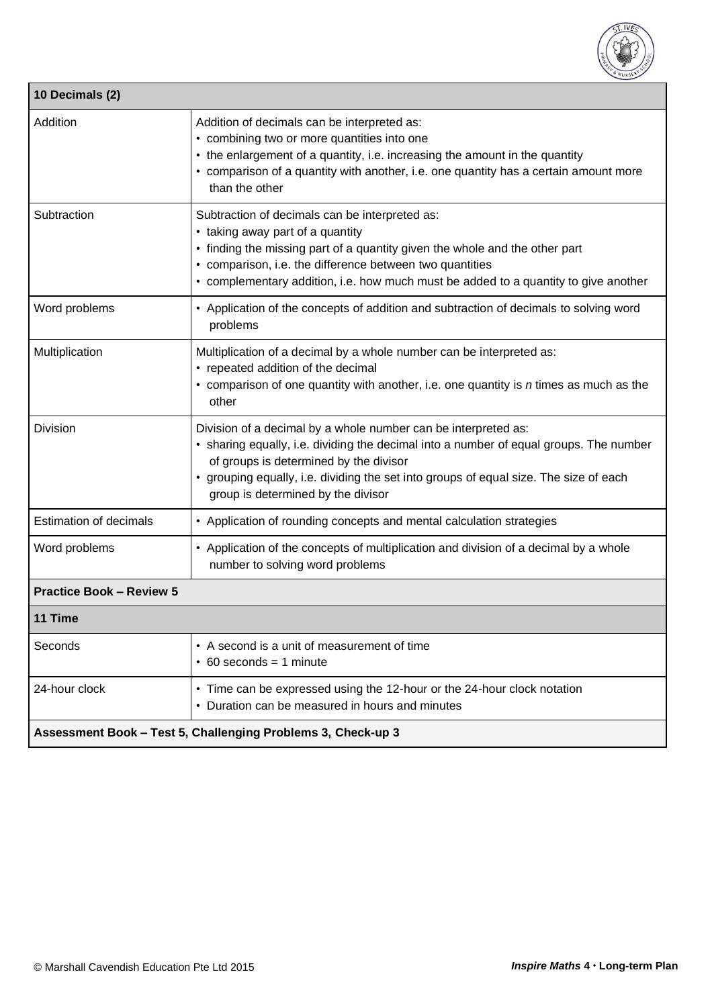

| 10 Decimals (2)                                              |                                                                                                                                                                                                                                                                                                                                   |  |
|--------------------------------------------------------------|-----------------------------------------------------------------------------------------------------------------------------------------------------------------------------------------------------------------------------------------------------------------------------------------------------------------------------------|--|
| Addition                                                     | Addition of decimals can be interpreted as:<br>• combining two or more quantities into one<br>• the enlargement of a quantity, i.e. increasing the amount in the quantity<br>• comparison of a quantity with another, i.e. one quantity has a certain amount more<br>than the other                                               |  |
| Subtraction                                                  | Subtraction of decimals can be interpreted as:<br>• taking away part of a quantity<br>• finding the missing part of a quantity given the whole and the other part<br>• comparison, i.e. the difference between two quantities<br>• complementary addition, i.e. how much must be added to a quantity to give another              |  |
| Word problems                                                | • Application of the concepts of addition and subtraction of decimals to solving word<br>problems                                                                                                                                                                                                                                 |  |
| Multiplication                                               | Multiplication of a decimal by a whole number can be interpreted as:<br>• repeated addition of the decimal<br>$\cdot$ comparison of one quantity with another, i.e. one quantity is $n$ times as much as the<br>other                                                                                                             |  |
| <b>Division</b>                                              | Division of a decimal by a whole number can be interpreted as:<br>• sharing equally, i.e. dividing the decimal into a number of equal groups. The number<br>of groups is determined by the divisor<br>• grouping equally, i.e. dividing the set into groups of equal size. The size of each<br>group is determined by the divisor |  |
| <b>Estimation of decimals</b>                                | • Application of rounding concepts and mental calculation strategies                                                                                                                                                                                                                                                              |  |
| Word problems                                                | • Application of the concepts of multiplication and division of a decimal by a whole<br>number to solving word problems                                                                                                                                                                                                           |  |
| <b>Practice Book - Review 5</b>                              |                                                                                                                                                                                                                                                                                                                                   |  |
| 11 Time                                                      |                                                                                                                                                                                                                                                                                                                                   |  |
| Seconds                                                      | • A second is a unit of measurement of time<br>$\cdot$ 60 seconds = 1 minute                                                                                                                                                                                                                                                      |  |
| 24-hour clock                                                | • Time can be expressed using the 12-hour or the 24-hour clock notation<br>• Duration can be measured in hours and minutes                                                                                                                                                                                                        |  |
| Assessment Book - Test 5, Challenging Problems 3, Check-up 3 |                                                                                                                                                                                                                                                                                                                                   |  |

 $\mathsf{r}$